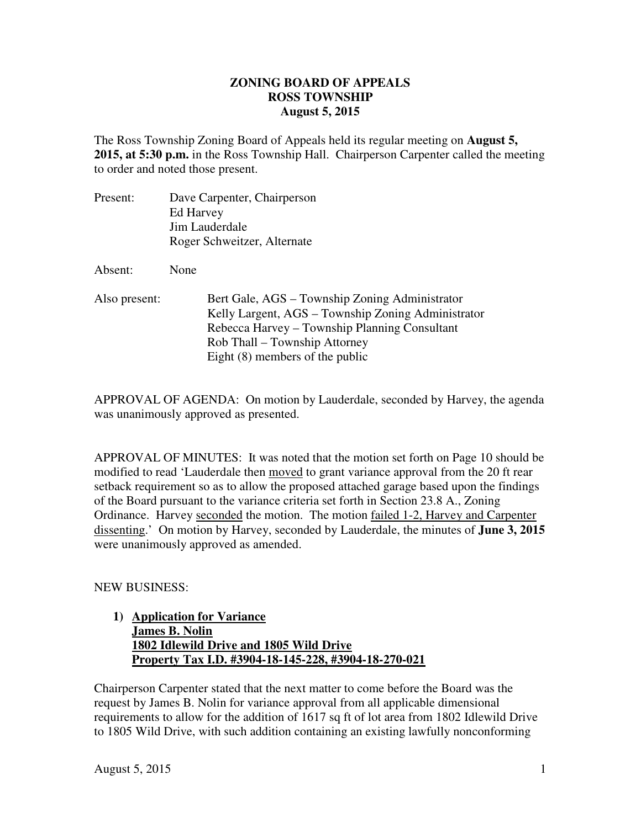## **ZONING BOARD OF APPEALS August 5, 2015 ROSS TOWNSHIP**

 The Ross Township Zoning Board of Appeals held its regular meeting on **August 5, 2015, at 5:30 p.m.** in the Ross Township Hall. Chairperson Carpenter called the meeting to order and noted those present.

| Present:      | Dave Carpenter, Chairperson<br>Ed Harvey<br>Jim Lauderdale<br>Roger Schweitzer, Alternate                                                                                                                                   |
|---------------|-----------------------------------------------------------------------------------------------------------------------------------------------------------------------------------------------------------------------------|
| Absent:       | None                                                                                                                                                                                                                        |
| Also present: | Bert Gale, AGS – Township Zoning Administrator<br>Kelly Largent, AGS – Township Zoning Administrator<br>Rebecca Harvey – Township Planning Consultant<br>Rob Thall – Township Attorney<br>Eight $(8)$ members of the public |

 APPROVAL OF AGENDA: On motion by Lauderdale, seconded by Harvey, the agenda was unanimously approved as presented.

 APPROVAL OF MINUTES: It was noted that the motion set forth on Page 10 should be modified to read 'Lauderdale then moved to grant variance approval from the 20 ft rear setback requirement so as to allow the proposed attached garage based upon the findings of the Board pursuant to the variance criteria set forth in Section 23.8 A., Zoning Ordinance. Harvey seconded the motion. The motion failed 1-2, Harvey and Carpenter dissenting.' On motion by Harvey, seconded by Lauderdale, the minutes of **June 3, 2015**  were unanimously approved as amended.

## NEW BUSINESS:

## **1) Application for Variance James B. Nolin 1802 Idlewild Drive and 1805 Wild Drive Property Tax I.D. #3904-18-145-228, #3904-18-270-021**

 Chairperson Carpenter stated that the next matter to come before the Board was the request by James B. Nolin for variance approval from all applicable dimensional requirements to allow for the addition of 1617 sq ft of lot area from 1802 Idlewild Drive to 1805 Wild Drive, with such addition containing an existing lawfully nonconforming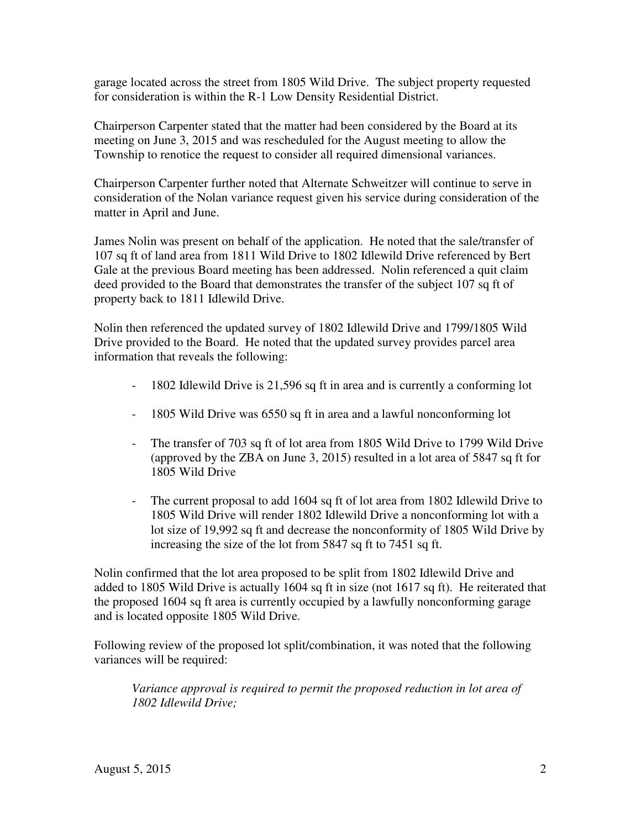garage located across the street from 1805 Wild Drive. The subject property requested for consideration is within the R-1 Low Density Residential District.

 Chairperson Carpenter stated that the matter had been considered by the Board at its meeting on June 3, 2015 and was rescheduled for the August meeting to allow the Township to renotice the request to consider all required dimensional variances.

 Chairperson Carpenter further noted that Alternate Schweitzer will continue to serve in consideration of the Nolan variance request given his service during consideration of the matter in April and June.

 James Nolin was present on behalf of the application. He noted that the sale/transfer of 107 sq ft of land area from 1811 Wild Drive to 1802 Idlewild Drive referenced by Bert Gale at the previous Board meeting has been addressed. Nolin referenced a quit claim deed provided to the Board that demonstrates the transfer of the subject 107 sq ft of property back to 1811 Idlewild Drive.

 Nolin then referenced the updated survey of 1802 Idlewild Drive and 1799/1805 Wild Drive provided to the Board. He noted that the updated survey provides parcel area information that reveals the following:

- 1802 Idlewild Drive is 21,596 sq ft in area and is currently a conforming lot
- 1805 Wild Drive was 6550 sq ft in area and a lawful nonconforming lot
- - The transfer of 703 sq ft of lot area from 1805 Wild Drive to 1799 Wild Drive (approved by the ZBA on June 3, 2015) resulted in a lot area of 5847 sq ft for 1805 Wild Drive
- - The current proposal to add 1604 sq ft of lot area from 1802 Idlewild Drive to 1805 Wild Drive will render 1802 Idlewild Drive a nonconforming lot with a lot size of 19,992 sq ft and decrease the nonconformity of 1805 Wild Drive by increasing the size of the lot from 5847 sq ft to 7451 sq ft.

 Nolin confirmed that the lot area proposed to be split from 1802 Idlewild Drive and added to 1805 Wild Drive is actually 1604 sq ft in size (not 1617 sq ft). He reiterated that the proposed 1604 sq ft area is currently occupied by a lawfully nonconforming garage and is located opposite 1805 Wild Drive.

 Following review of the proposed lot split/combination, it was noted that the following variances will be required:

Variance approval is required to permit the proposed reduction in lot area of  *1802 Idlewild Drive;*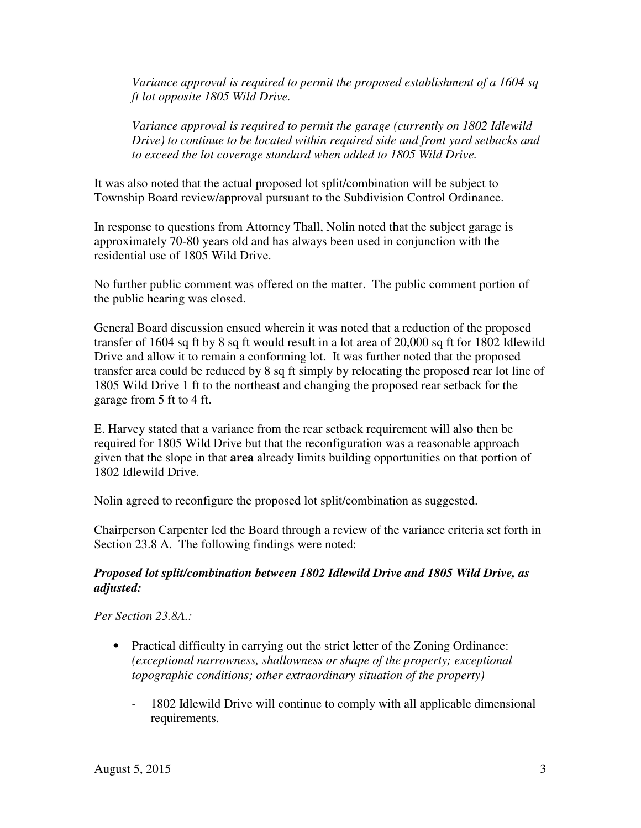*Variance approval is required to permit the proposed establishment of a 1604 sq ft lot opposite 1805 Wild Drive.* 

Variance approval is required to permit the garage (currently on 1802 Idlewild  *Drive) to continue to be located within required side and front yard setbacks and to exceed the lot coverage standard when added to 1805 Wild Drive.* 

 It was also noted that the actual proposed lot split/combination will be subject to Township Board review/approval pursuant to the Subdivision Control Ordinance.

 In response to questions from Attorney Thall, Nolin noted that the subject garage is approximately 70-80 years old and has always been used in conjunction with the residential use of 1805 Wild Drive.

 No further public comment was offered on the matter. The public comment portion of the public hearing was closed.

 General Board discussion ensued wherein it was noted that a reduction of the proposed transfer of 1604 sq ft by 8 sq ft would result in a lot area of 20,000 sq ft for 1802 Idlewild Drive and allow it to remain a conforming lot. It was further noted that the proposed transfer area could be reduced by 8 sq ft simply by relocating the proposed rear lot line of 1805 Wild Drive 1 ft to the northeast and changing the proposed rear setback for the garage from 5 ft to 4 ft.

 E. Harvey stated that a variance from the rear setback requirement will also then be required for 1805 Wild Drive but that the reconfiguration was a reasonable approach given that the slope in that **area** already limits building opportunities on that portion of 1802 Idlewild Drive.

Nolin agreed to reconfigure the proposed lot split/combination as suggested.

 Chairperson Carpenter led the Board through a review of the variance criteria set forth in Section 23.8 A. The following findings were noted:

## *Proposed lot split/combination between 1802 Idlewild Drive and 1805 Wild Drive, as adjusted:*

 *Per Section 23.8A.:* 

- • Practical difficulty in carrying out the strict letter of the Zoning Ordinance:  *(exceptional narrowness, shallowness or shape of the property; exceptional topographic conditions; other extraordinary situation of the property)* 
	- - 1802 Idlewild Drive will continue to comply with all applicable dimensional requirements.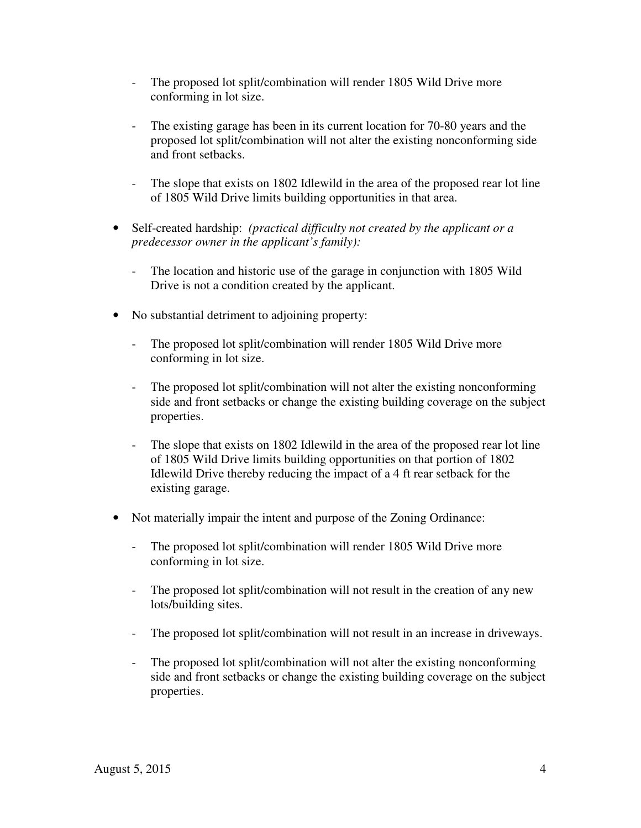- The proposed lot split/combination will render 1805 Wild Drive more conforming in lot size.
- - The existing garage has been in its current location for 70-80 years and the proposed lot split/combination will not alter the existing nonconforming side and front setbacks.
- - The slope that exists on 1802 Idlewild in the area of the proposed rear lot line of 1805 Wild Drive limits building opportunities in that area.
- • Self-created hardship: *(practical difficulty not created by the applicant or a predecessor owner in the applicant's family):* 
	- - The location and historic use of the garage in conjunction with 1805 Wild Drive is not a condition created by the applicant.
- • No substantial detriment to adjoining property:
	- The proposed lot split/combination will render 1805 Wild Drive more conforming in lot size.
	- - The proposed lot split/combination will not alter the existing nonconforming side and front setbacks or change the existing building coverage on the subject properties.
	- - The slope that exists on 1802 Idlewild in the area of the proposed rear lot line of 1805 Wild Drive limits building opportunities on that portion of 1802 Idlewild Drive thereby reducing the impact of a 4 ft rear setback for the existing garage.
- Not materially impair the intent and purpose of the Zoning Ordinance:
	- The proposed lot split/combination will render 1805 Wild Drive more conforming in lot size.
	- The proposed lot split/combination will not result in the creation of any new lots/building sites.
	- The proposed lot split/combination will not result in an increase in driveways.
	- - The proposed lot split/combination will not alter the existing nonconforming side and front setbacks or change the existing building coverage on the subject properties.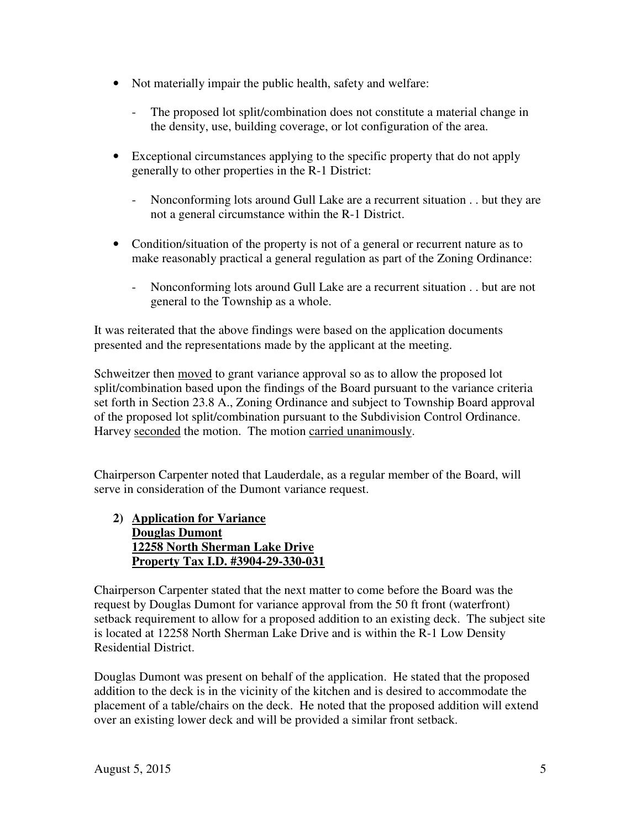- Not materially impair the public health, safety and welfare:
	- - The proposed lot split/combination does not constitute a material change in the density, use, building coverage, or lot configuration of the area.
- Exceptional circumstances applying to the specific property that do not apply generally to other properties in the R-1 District:
	- - Nonconforming lots around Gull Lake are a recurrent situation . . but they are not a general circumstance within the R-1 District.
- Condition/situation of the property is not of a general or recurrent nature as to make reasonably practical a general regulation as part of the Zoning Ordinance:
	- - Nonconforming lots around Gull Lake are a recurrent situation . . but are not general to the Township as a whole.

 It was reiterated that the above findings were based on the application documents presented and the representations made by the applicant at the meeting.

Schweitzer then moved to grant variance approval so as to allow the proposed lot split/combination based upon the findings of the Board pursuant to the variance criteria set forth in Section 23.8 A., Zoning Ordinance and subject to Township Board approval of the proposed lot split/combination pursuant to the Subdivision Control Ordinance. Harvey seconded the motion. The motion carried unanimously.

 Chairperson Carpenter noted that Lauderdale, as a regular member of the Board, will serve in consideration of the Dumont variance request.

 **2) Application for Variance Douglas Dumont 12258 North Sherman Lake Drive Property Tax I.D. #3904-29-330-031** 

 Chairperson Carpenter stated that the next matter to come before the Board was the request by Douglas Dumont for variance approval from the 50 ft front (waterfront) setback requirement to allow for a proposed addition to an existing deck. The subject site is located at 12258 North Sherman Lake Drive and is within the R-1 Low Density Residential District.

 Douglas Dumont was present on behalf of the application. He stated that the proposed addition to the deck is in the vicinity of the kitchen and is desired to accommodate the placement of a table/chairs on the deck. He noted that the proposed addition will extend over an existing lower deck and will be provided a similar front setback.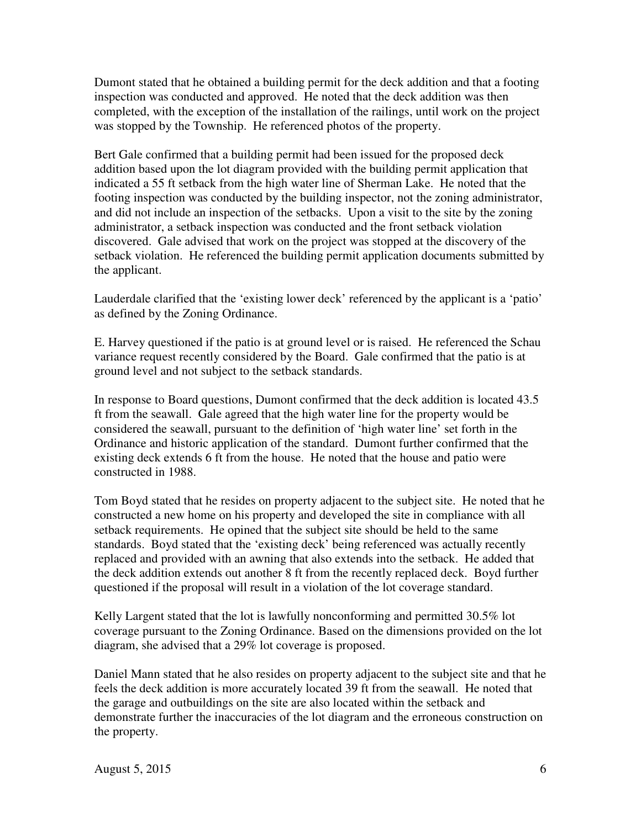Dumont stated that he obtained a building permit for the deck addition and that a footing inspection was conducted and approved. He noted that the deck addition was then completed, with the exception of the installation of the railings, until work on the project was stopped by the Township. He referenced photos of the property.

 Bert Gale confirmed that a building permit had been issued for the proposed deck addition based upon the lot diagram provided with the building permit application that indicated a 55 ft setback from the high water line of Sherman Lake. He noted that the footing inspection was conducted by the building inspector, not the zoning administrator, and did not include an inspection of the setbacks. Upon a visit to the site by the zoning administrator, a setback inspection was conducted and the front setback violation discovered. Gale advised that work on the project was stopped at the discovery of the setback violation. He referenced the building permit application documents submitted by the applicant.

 Lauderdale clarified that the 'existing lower deck' referenced by the applicant is a 'patio' as defined by the Zoning Ordinance.

 E. Harvey questioned if the patio is at ground level or is raised. He referenced the Schau variance request recently considered by the Board. Gale confirmed that the patio is at ground level and not subject to the setback standards.

 In response to Board questions, Dumont confirmed that the deck addition is located 43.5 ft from the seawall. Gale agreed that the high water line for the property would be considered the seawall, pursuant to the definition of 'high water line' set forth in the Ordinance and historic application of the standard. Dumont further confirmed that the existing deck extends 6 ft from the house. He noted that the house and patio were constructed in 1988.

 Tom Boyd stated that he resides on property adjacent to the subject site. He noted that he constructed a new home on his property and developed the site in compliance with all setback requirements. He opined that the subject site should be held to the same standards. Boyd stated that the 'existing deck' being referenced was actually recently replaced and provided with an awning that also extends into the setback. He added that the deck addition extends out another 8 ft from the recently replaced deck. Boyd further questioned if the proposal will result in a violation of the lot coverage standard.

 Kelly Largent stated that the lot is lawfully nonconforming and permitted 30.5% lot coverage pursuant to the Zoning Ordinance. Based on the dimensions provided on the lot diagram, she advised that a 29% lot coverage is proposed.

 Daniel Mann stated that he also resides on property adjacent to the subject site and that he feels the deck addition is more accurately located 39 ft from the seawall. He noted that the garage and outbuildings on the site are also located within the setback and demonstrate further the inaccuracies of the lot diagram and the erroneous construction on the property.